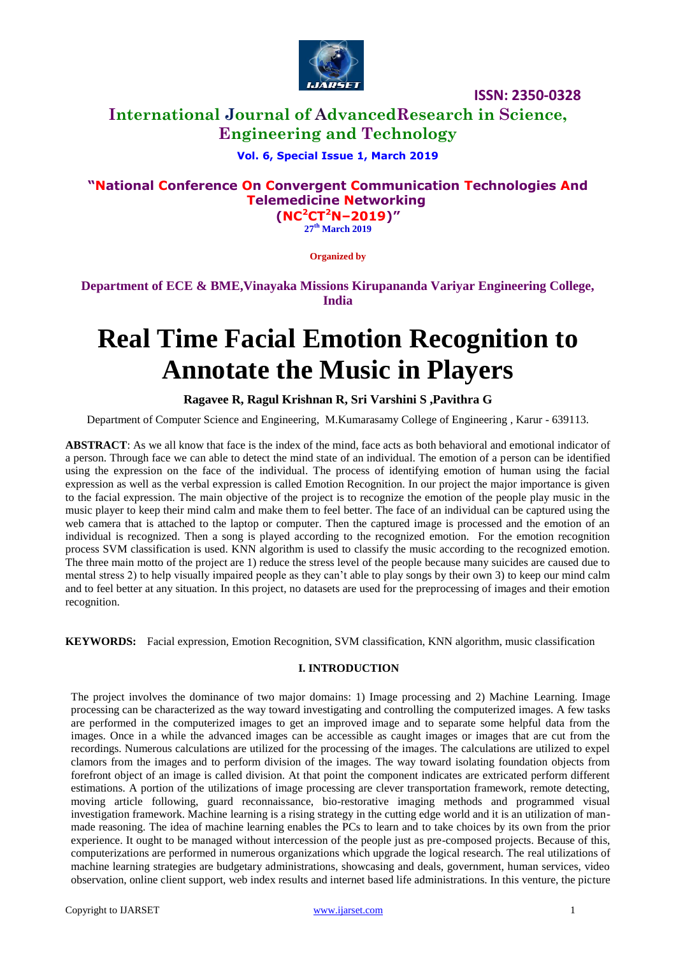

# **International Journal of AdvancedResearch in Science, Engineering and Technology**

## **Vol. 6, Special Issue 1, March 2019**

## **"National Conference On Convergent Communication Technologies And Telemedicine Networking**

**(NC<sup>2</sup>CT<sup>2</sup>N–2019)" 27 th March 2019**

**Organized by**

**Department of ECE & BME,Vinayaka Missions Kirupananda Variyar Engineering College, India**

# **Real Time Facial Emotion Recognition to Annotate the Music in Players**

#### **Ragavee R, Ragul Krishnan R, Sri Varshini S ,Pavithra G**

Department of Computer Science and Engineering, M.Kumarasamy College of Engineering , Karur - 639113.

 **ABSTRACT**: As we all know that face is the index of the mind, face acts as both behavioral and emotional indicator of a person. Through face we can able to detect the mind state of an individual. The emotion of a person can be identified using the expression on the face of the individual. The process of identifying emotion of human using the facial expression as well as the verbal expression is called Emotion Recognition. In our project the major importance is given to the facial expression. The main objective of the project is to recognize the emotion of the people play music in the music player to keep their mind calm and make them to feel better. The face of an individual can be captured using the web camera that is attached to the laptop or computer. Then the captured image is processed and the emotion of an individual is recognized. Then a song is played according to the recognized emotion. For the emotion recognition process SVM classification is used. KNN algorithm is used to classify the music according to the recognized emotion. The three main motto of the project are 1) reduce the stress level of the people because many suicides are caused due to mental stress 2) to help visually impaired people as they can't able to play songs by their own 3) to keep our mind calm and to feel better at any situation. In this project, no datasets are used for the preprocessing of images and their emotion recognition.

**KEYWORDS:** Facial expression, Emotion Recognition, SVM classification, KNN algorithm, music classification

#### **I. INTRODUCTION**

The project involves the dominance of two major domains: 1) Image processing and 2) Machine Learning. Image processing can be characterized as the way toward investigating and controlling the computerized images. A few tasks are performed in the computerized images to get an improved image and to separate some helpful data from the images. Once in a while the advanced images can be accessible as caught images or images that are cut from the recordings. Numerous calculations are utilized for the processing of the images. The calculations are utilized to expel clamors from the images and to perform division of the images. The way toward isolating foundation objects from forefront object of an image is called division. At that point the component indicates are extricated perform different estimations. A portion of the utilizations of image processing are clever transportation framework, remote detecting, moving article following, guard reconnaissance, bio-restorative imaging methods and programmed visual investigation framework. Machine learning is a rising strategy in the cutting edge world and it is an utilization of manmade reasoning. The idea of machine learning enables the PCs to learn and to take choices by its own from the prior experience. It ought to be managed without intercession of the people just as pre-composed projects. Because of this, computerizations are performed in numerous organizations which upgrade the logical research. The real utilizations of machine learning strategies are budgetary administrations, showcasing and deals, government, human services, video observation, online client support, web index results and internet based life administrations. In this venture, the picture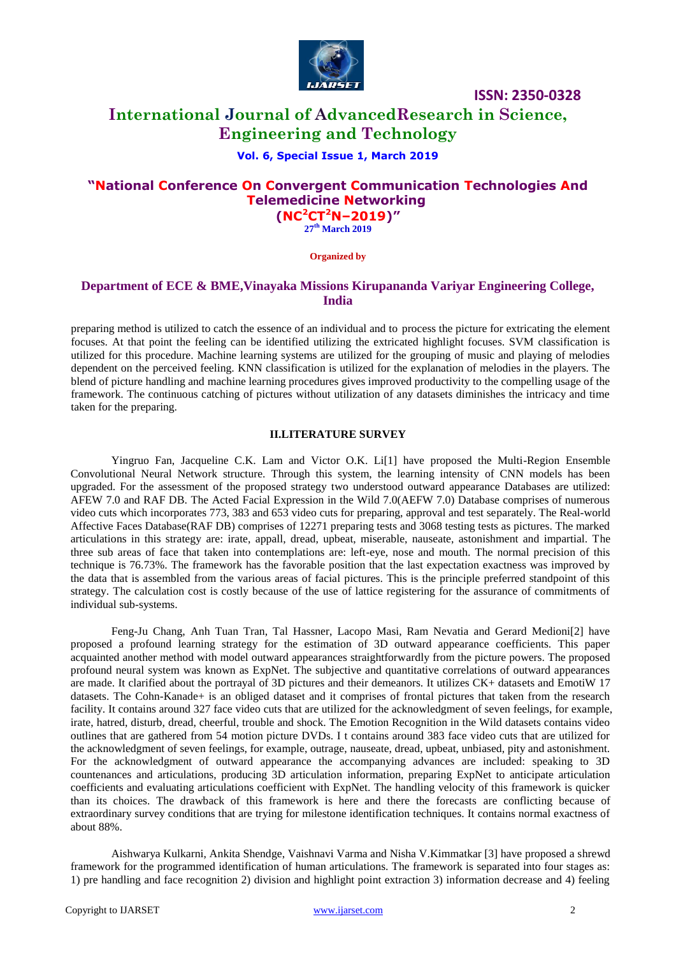

## **International Journal of AdvancedResearch in Science, Engineering and Technology**

#### **Vol. 6, Special Issue 1, March 2019**

## **"National Conference On Convergent Communication Technologies And Telemedicine Networking (NC<sup>2</sup>CT<sup>2</sup>N–2019)"**

**27 th March 2019**

**Organized by**

#### **Department of ECE & BME,Vinayaka Missions Kirupananda Variyar Engineering College, India**

preparing method is utilized to catch the essence of an individual and to process the picture for extricating the element focuses. At that point the feeling can be identified utilizing the extricated highlight focuses. SVM classification is utilized for this procedure. Machine learning systems are utilized for the grouping of music and playing of melodies dependent on the perceived feeling. KNN classification is utilized for the explanation of melodies in the players. The blend of picture handling and machine learning procedures gives improved productivity to the compelling usage of the framework. The continuous catching of pictures without utilization of any datasets diminishes the intricacy and time taken for the preparing.

#### **II.LITERATURE SURVEY**

Yingruo Fan, Jacqueline C.K. Lam and Victor O.K. Li[1] have proposed the Multi-Region Ensemble Convolutional Neural Network structure. Through this system, the learning intensity of CNN models has been upgraded. For the assessment of the proposed strategy two understood outward appearance Databases are utilized: AFEW 7.0 and RAF DB. The Acted Facial Expression in the Wild 7.0(AEFW 7.0) Database comprises of numerous video cuts which incorporates 773, 383 and 653 video cuts for preparing, approval and test separately. The Real-world Affective Faces Database(RAF DB) comprises of 12271 preparing tests and 3068 testing tests as pictures. The marked articulations in this strategy are: irate, appall, dread, upbeat, miserable, nauseate, astonishment and impartial. The three sub areas of face that taken into contemplations are: left-eye, nose and mouth. The normal precision of this technique is 76.73%. The framework has the favorable position that the last expectation exactness was improved by the data that is assembled from the various areas of facial pictures. This is the principle preferred standpoint of this strategy. The calculation cost is costly because of the use of lattice registering for the assurance of commitments of individual sub-systems.

Feng-Ju Chang, Anh Tuan Tran, Tal Hassner, Lacopo Masi, Ram Nevatia and Gerard Medioni[2] have proposed a profound learning strategy for the estimation of 3D outward appearance coefficients. This paper acquainted another method with model outward appearances straightforwardly from the picture powers. The proposed profound neural system was known as ExpNet. The subjective and quantitative correlations of outward appearances are made. It clarified about the portrayal of 3D pictures and their demeanors. It utilizes CK+ datasets and EmotiW 17 datasets. The Cohn-Kanade+ is an obliged dataset and it comprises of frontal pictures that taken from the research facility. It contains around 327 face video cuts that are utilized for the acknowledgment of seven feelings, for example, irate, hatred, disturb, dread, cheerful, trouble and shock. The Emotion Recognition in the Wild datasets contains video outlines that are gathered from 54 motion picture DVDs. I t contains around 383 face video cuts that are utilized for the acknowledgment of seven feelings, for example, outrage, nauseate, dread, upbeat, unbiased, pity and astonishment. For the acknowledgment of outward appearance the accompanying advances are included: speaking to 3D countenances and articulations, producing 3D articulation information, preparing ExpNet to anticipate articulation coefficients and evaluating articulations coefficient with ExpNet. The handling velocity of this framework is quicker than its choices. The drawback of this framework is here and there the forecasts are conflicting because of extraordinary survey conditions that are trying for milestone identification techniques. It contains normal exactness of about 88%.

Aishwarya Kulkarni, Ankita Shendge, Vaishnavi Varma and Nisha V.Kimmatkar [3] have proposed a shrewd framework for the programmed identification of human articulations. The framework is separated into four stages as: 1) pre handling and face recognition 2) division and highlight point extraction 3) information decrease and 4) feeling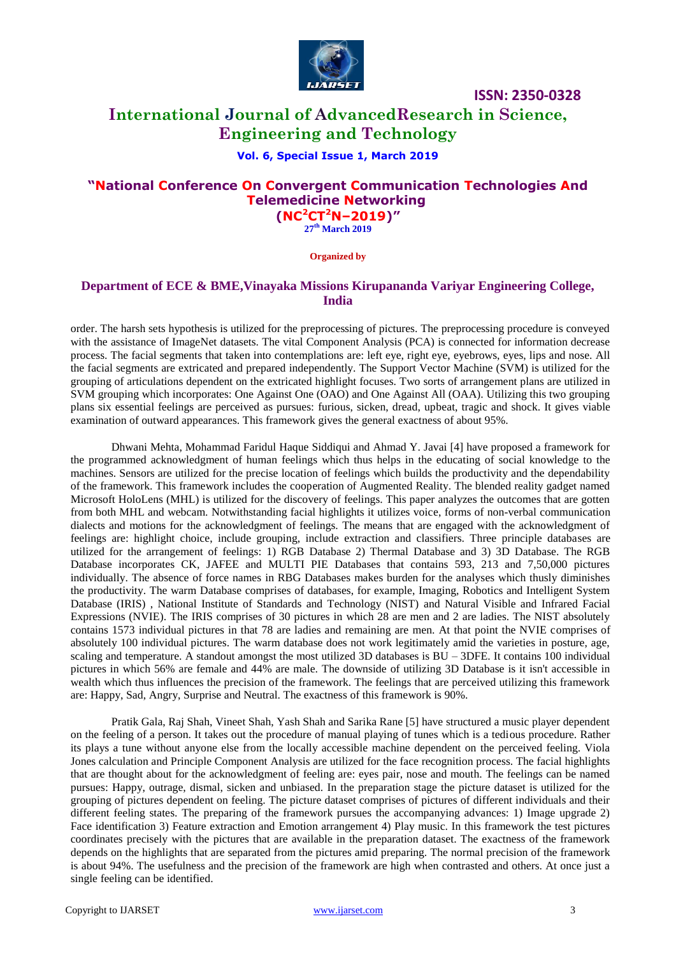

# **International Journal of AdvancedResearch in Science, Engineering and Technology**

#### **Vol. 6, Special Issue 1, March 2019**

## **"National Conference On Convergent Communication Technologies And Telemedicine Networking (NC<sup>2</sup>CT<sup>2</sup>N–2019)"**

**27 th March 2019**

**Organized by**

#### **Department of ECE & BME,Vinayaka Missions Kirupananda Variyar Engineering College, India**

order. The harsh sets hypothesis is utilized for the preprocessing of pictures. The preprocessing procedure is conveyed with the assistance of ImageNet datasets. The vital Component Analysis (PCA) is connected for information decrease process. The facial segments that taken into contemplations are: left eye, right eye, eyebrows, eyes, lips and nose. All the facial segments are extricated and prepared independently. The Support Vector Machine (SVM) is utilized for the grouping of articulations dependent on the extricated highlight focuses. Two sorts of arrangement plans are utilized in SVM grouping which incorporates: One Against One (OAO) and One Against All (OAA). Utilizing this two grouping plans six essential feelings are perceived as pursues: furious, sicken, dread, upbeat, tragic and shock. It gives viable examination of outward appearances. This framework gives the general exactness of about 95%.

Dhwani Mehta, Mohammad Faridul Haque Siddiqui and Ahmad Y. Javai [4] have proposed a framework for the programmed acknowledgment of human feelings which thus helps in the educating of social knowledge to the machines. Sensors are utilized for the precise location of feelings which builds the productivity and the dependability of the framework. This framework includes the cooperation of Augmented Reality. The blended reality gadget named Microsoft HoloLens (MHL) is utilized for the discovery of feelings. This paper analyzes the outcomes that are gotten from both MHL and webcam. Notwithstanding facial highlights it utilizes voice, forms of non-verbal communication dialects and motions for the acknowledgment of feelings. The means that are engaged with the acknowledgment of feelings are: highlight choice, include grouping, include extraction and classifiers. Three principle databases are utilized for the arrangement of feelings: 1) RGB Database 2) Thermal Database and 3) 3D Database. The RGB Database incorporates CK, JAFEE and MULTI PIE Databases that contains 593, 213 and 7,50,000 pictures individually. The absence of force names in RBG Databases makes burden for the analyses which thusly diminishes the productivity. The warm Database comprises of databases, for example, Imaging, Robotics and Intelligent System Database (IRIS) , National Institute of Standards and Technology (NIST) and Natural Visible and Infrared Facial Expressions (NVIE). The IRIS comprises of 30 pictures in which 28 are men and 2 are ladies. The NIST absolutely contains 1573 individual pictures in that 78 are ladies and remaining are men. At that point the NVIE comprises of absolutely 100 individual pictures. The warm database does not work legitimately amid the varieties in posture, age, scaling and temperature. A standout amongst the most utilized 3D databases is BU – 3DFE. It contains 100 individual pictures in which 56% are female and 44% are male. The downside of utilizing 3D Database is it isn't accessible in wealth which thus influences the precision of the framework. The feelings that are perceived utilizing this framework are: Happy, Sad, Angry, Surprise and Neutral. The exactness of this framework is 90%.

Pratik Gala, Raj Shah, Vineet Shah, Yash Shah and Sarika Rane [5] have structured a music player dependent on the feeling of a person. It takes out the procedure of manual playing of tunes which is a tedious procedure. Rather its plays a tune without anyone else from the locally accessible machine dependent on the perceived feeling. Viola Jones calculation and Principle Component Analysis are utilized for the face recognition process. The facial highlights that are thought about for the acknowledgment of feeling are: eyes pair, nose and mouth. The feelings can be named pursues: Happy, outrage, dismal, sicken and unbiased. In the preparation stage the picture dataset is utilized for the grouping of pictures dependent on feeling. The picture dataset comprises of pictures of different individuals and their different feeling states. The preparing of the framework pursues the accompanying advances: 1) Image upgrade 2) Face identification 3) Feature extraction and Emotion arrangement 4) Play music. In this framework the test pictures coordinates precisely with the pictures that are available in the preparation dataset. The exactness of the framework depends on the highlights that are separated from the pictures amid preparing. The normal precision of the framework is about 94%. The usefulness and the precision of the framework are high when contrasted and others. At once just a single feeling can be identified.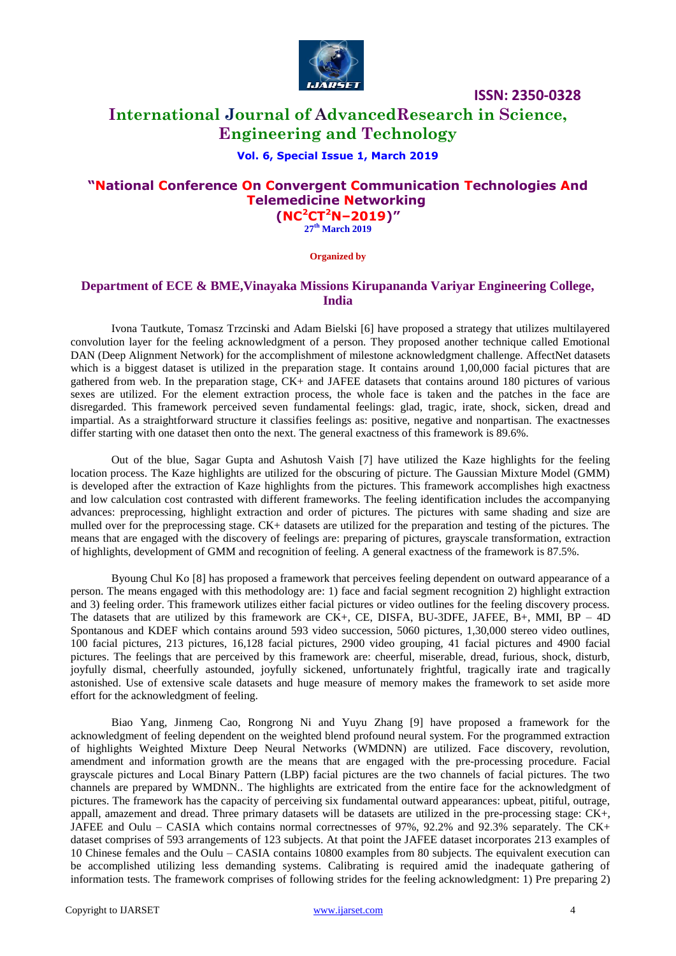

# **International Journal of AdvancedResearch in Science, Engineering and Technology**

#### **Vol. 6, Special Issue 1, March 2019**

## **"National Conference On Convergent Communication Technologies And Telemedicine Networking (NC<sup>2</sup>CT<sup>2</sup>N–2019)"**

**27 th March 2019**

**Organized by**

#### **Department of ECE & BME,Vinayaka Missions Kirupananda Variyar Engineering College, India**

Ivona Tautkute, Tomasz Trzcinski and Adam Bielski [6] have proposed a strategy that utilizes multilayered convolution layer for the feeling acknowledgment of a person. They proposed another technique called Emotional DAN (Deep Alignment Network) for the accomplishment of milestone acknowledgment challenge. AffectNet datasets which is a biggest dataset is utilized in the preparation stage. It contains around 1,00,000 facial pictures that are gathered from web. In the preparation stage, CK+ and JAFEE datasets that contains around 180 pictures of various sexes are utilized. For the element extraction process, the whole face is taken and the patches in the face are disregarded. This framework perceived seven fundamental feelings: glad, tragic, irate, shock, sicken, dread and impartial. As a straightforward structure it classifies feelings as: positive, negative and nonpartisan. The exactnesses differ starting with one dataset then onto the next. The general exactness of this framework is 89.6%.

Out of the blue, Sagar Gupta and Ashutosh Vaish [7] have utilized the Kaze highlights for the feeling location process. The Kaze highlights are utilized for the obscuring of picture. The Gaussian Mixture Model (GMM) is developed after the extraction of Kaze highlights from the pictures. This framework accomplishes high exactness and low calculation cost contrasted with different frameworks. The feeling identification includes the accompanying advances: preprocessing, highlight extraction and order of pictures. The pictures with same shading and size are mulled over for the preprocessing stage. CK+ datasets are utilized for the preparation and testing of the pictures. The means that are engaged with the discovery of feelings are: preparing of pictures, grayscale transformation, extraction of highlights, development of GMM and recognition of feeling. A general exactness of the framework is 87.5%.

Byoung Chul Ko [8] has proposed a framework that perceives feeling dependent on outward appearance of a person. The means engaged with this methodology are: 1) face and facial segment recognition 2) highlight extraction and 3) feeling order. This framework utilizes either facial pictures or video outlines for the feeling discovery process. The datasets that are utilized by this framework are CK+, CE, DISFA, BU-3DFE, JAFEE, B+, MMI, BP – 4D Spontanous and KDEF which contains around 593 video succession, 5060 pictures, 1,30,000 stereo video outlines, 100 facial pictures, 213 pictures, 16,128 facial pictures, 2900 video grouping, 41 facial pictures and 4900 facial pictures. The feelings that are perceived by this framework are: cheerful, miserable, dread, furious, shock, disturb, joyfully dismal, cheerfully astounded, joyfully sickened, unfortunately frightful, tragically irate and tragically astonished. Use of extensive scale datasets and huge measure of memory makes the framework to set aside more effort for the acknowledgment of feeling.

Biao Yang, Jinmeng Cao, Rongrong Ni and Yuyu Zhang [9] have proposed a framework for the acknowledgment of feeling dependent on the weighted blend profound neural system. For the programmed extraction of highlights Weighted Mixture Deep Neural Networks (WMDNN) are utilized. Face discovery, revolution, amendment and information growth are the means that are engaged with the pre-processing procedure. Facial grayscale pictures and Local Binary Pattern (LBP) facial pictures are the two channels of facial pictures. The two channels are prepared by WMDNN.. The highlights are extricated from the entire face for the acknowledgment of pictures. The framework has the capacity of perceiving six fundamental outward appearances: upbeat, pitiful, outrage, appall, amazement and dread. Three primary datasets will be datasets are utilized in the pre-processing stage: CK+, JAFEE and Oulu – CASIA which contains normal correctnesses of 97%, 92.2% and 92.3% separately. The CK+ dataset comprises of 593 arrangements of 123 subjects. At that point the JAFEE dataset incorporates 213 examples of 10 Chinese females and the Oulu – CASIA contains 10800 examples from 80 subjects. The equivalent execution can be accomplished utilizing less demanding systems. Calibrating is required amid the inadequate gathering of information tests. The framework comprises of following strides for the feeling acknowledgment: 1) Pre preparing 2)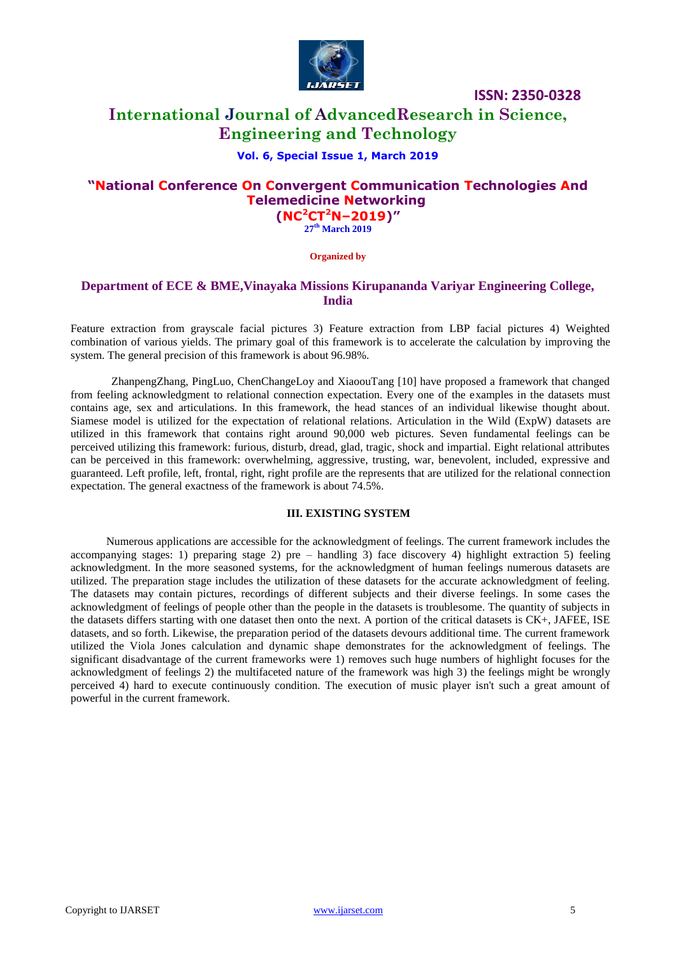

## **International Journal of AdvancedResearch in Science, Engineering and Technology**

#### **Vol. 6, Special Issue 1, March 2019**

## **"National Conference On Convergent Communication Technologies And Telemedicine Networking (NC<sup>2</sup>CT<sup>2</sup>N–2019)"**

**27 th March 2019**

**Organized by**

#### **Department of ECE & BME,Vinayaka Missions Kirupananda Variyar Engineering College, India**

Feature extraction from grayscale facial pictures 3) Feature extraction from LBP facial pictures 4) Weighted combination of various yields. The primary goal of this framework is to accelerate the calculation by improving the system. The general precision of this framework is about 96.98%.

ZhanpengZhang, PingLuo, ChenChangeLoy and XiaoouTang [10] have proposed a framework that changed from feeling acknowledgment to relational connection expectation. Every one of the examples in the datasets must contains age, sex and articulations. In this framework, the head stances of an individual likewise thought about. Siamese model is utilized for the expectation of relational relations. Articulation in the Wild (ExpW) datasets are utilized in this framework that contains right around 90,000 web pictures. Seven fundamental feelings can be perceived utilizing this framework: furious, disturb, dread, glad, tragic, shock and impartial. Eight relational attributes can be perceived in this framework: overwhelming, aggressive, trusting, war, benevolent, included, expressive and guaranteed. Left profile, left, frontal, right, right profile are the represents that are utilized for the relational connection expectation. The general exactness of the framework is about 74.5%.

#### **III. EXISTING SYSTEM**

Numerous applications are accessible for the acknowledgment of feelings. The current framework includes the accompanying stages: 1) preparing stage 2) pre – handling 3) face discovery 4) highlight extraction 5) feeling acknowledgment. In the more seasoned systems, for the acknowledgment of human feelings numerous datasets are utilized. The preparation stage includes the utilization of these datasets for the accurate acknowledgment of feeling. The datasets may contain pictures, recordings of different subjects and their diverse feelings. In some cases the acknowledgment of feelings of people other than the people in the datasets is troublesome. The quantity of subjects in the datasets differs starting with one dataset then onto the next. A portion of the critical datasets is CK+, JAFEE, ISE datasets, and so forth. Likewise, the preparation period of the datasets devours additional time. The current framework utilized the Viola Jones calculation and dynamic shape demonstrates for the acknowledgment of feelings. The significant disadvantage of the current frameworks were 1) removes such huge numbers of highlight focuses for the acknowledgment of feelings 2) the multifaceted nature of the framework was high 3) the feelings might be wrongly perceived 4) hard to execute continuously condition. The execution of music player isn't such a great amount of powerful in the current framework.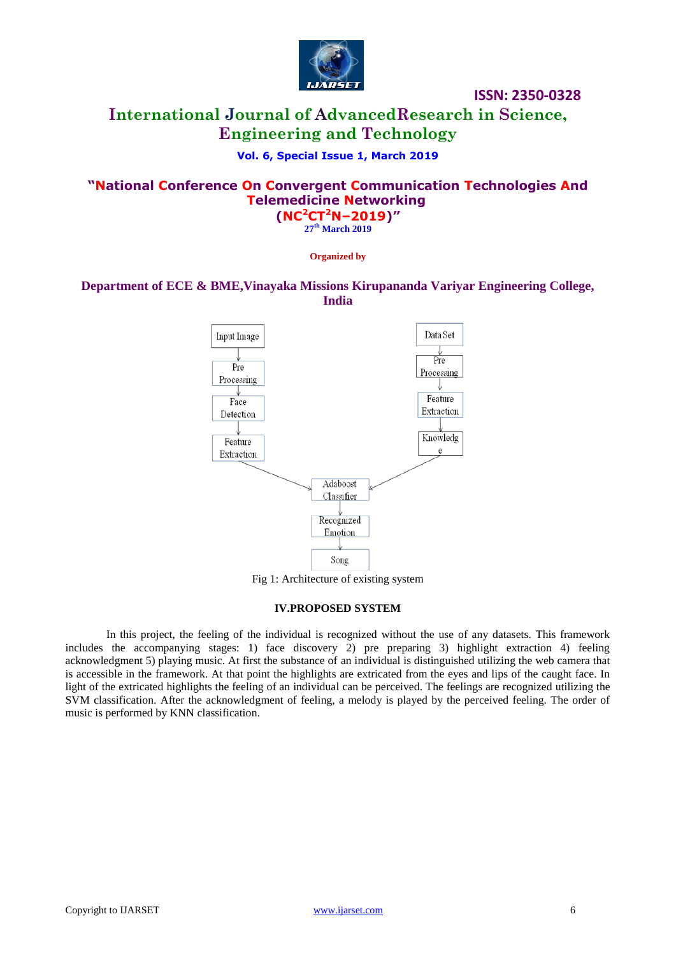

# **International Journal of AdvancedResearch in Science, Engineering and Technology**

## **Vol. 6, Special Issue 1, March 2019**

# **"National Conference On Convergent Communication Technologies And Telemedicine Networking**

**(NC<sup>2</sup>CT<sup>2</sup>N–2019)" 27 th March 2019**

#### **Organized by**

## **Department of ECE & BME,Vinayaka Missions Kirupananda Variyar Engineering College, India**



Fig 1: Architecture of existing system

#### **IV.PROPOSED SYSTEM**

In this project, the feeling of the individual is recognized without the use of any datasets. This framework includes the accompanying stages: 1) face discovery 2) pre preparing 3) highlight extraction 4) feeling acknowledgment 5) playing music. At first the substance of an individual is distinguished utilizing the web camera that is accessible in the framework. At that point the highlights are extricated from the eyes and lips of the caught face. In light of the extricated highlights the feeling of an individual can be perceived. The feelings are recognized utilizing the SVM classification. After the acknowledgment of feeling, a melody is played by the perceived feeling. The order of music is performed by KNN classification.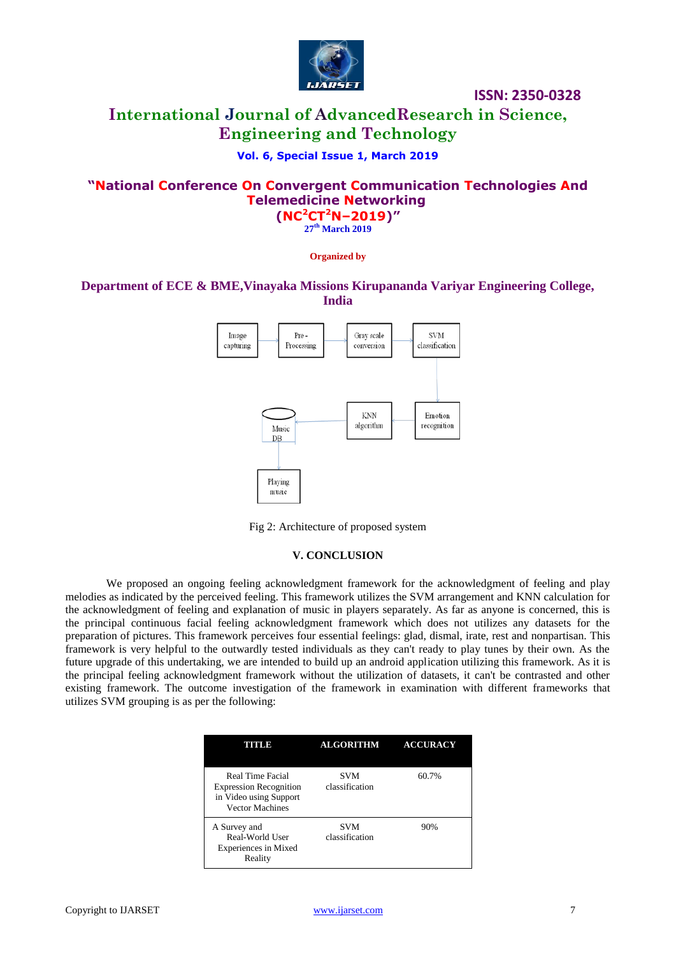

# **International Journal of AdvancedResearch in Science, Engineering and Technology**

## **Vol. 6, Special Issue 1, March 2019**

## **"National Conference On Convergent Communication Technologies And Telemedicine Networking (NC<sup>2</sup>CT<sup>2</sup>N–2019)"**

**27 th March 2019**

**Organized by**

## **Department of ECE & BME,Vinayaka Missions Kirupananda Variyar Engineering College, India**



Fig 2: Architecture of proposed system

#### **V. CONCLUSION**

We proposed an ongoing feeling acknowledgment framework for the acknowledgment of feeling and play melodies as indicated by the perceived feeling. This framework utilizes the SVM arrangement and KNN calculation for the acknowledgment of feeling and explanation of music in players separately. As far as anyone is concerned, this is the principal continuous facial feeling acknowledgment framework which does not utilizes any datasets for the preparation of pictures. This framework perceives four essential feelings: glad, dismal, irate, rest and nonpartisan. This framework is very helpful to the outwardly tested individuals as they can't ready to play tunes by their own. As the future upgrade of this undertaking, we are intended to build up an android application utilizing this framework. As it is the principal feeling acknowledgment framework without the utilization of datasets, it can't be contrasted and other existing framework. The outcome investigation of the framework in examination with different frameworks that utilizes SVM grouping is as per the following:

| ITITI JE                                                                                              | <b>ALGORITHM</b>      | <b>ACCURACY</b> |
|-------------------------------------------------------------------------------------------------------|-----------------------|-----------------|
| Real Time Facial<br><b>Expression Recognition</b><br>in Video using Support<br><b>Vector Machines</b> | SVM<br>classification | 60.7%           |
| A Survey and<br>Real-World User<br>Experiences in Mixed<br>Reality                                    | SVM<br>classification | 90%             |